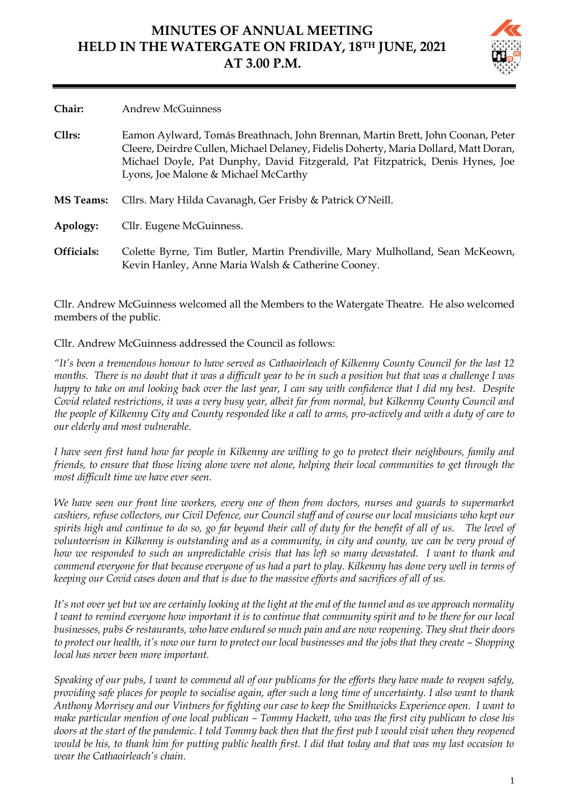## **MINUTES OF ANNUAL MEETING HELD IN THE WATERGATE ON FRIDAY, 18TH JUNE, 2021 AT 3.00 P.M.**

| Chair:           | <b>Andrew McGuinness</b>                                                                                                                                                                                                                                                                          |
|------------------|---------------------------------------------------------------------------------------------------------------------------------------------------------------------------------------------------------------------------------------------------------------------------------------------------|
| Cllrs:           | Eamon Aylward, Tomás Breathnach, John Brennan, Martin Brett, John Coonan, Peter<br>Cleere, Deirdre Cullen, Michael Delaney, Fidelis Doherty, Maria Dollard, Matt Doran,<br>Michael Doyle, Pat Dunphy, David Fitzgerald, Pat Fitzpatrick, Denis Hynes, Joe<br>Lyons, Joe Malone & Michael McCarthy |
| <b>MS</b> Teams: | Cllrs. Mary Hilda Cavanagh, Ger Frisby & Patrick O'Neill.                                                                                                                                                                                                                                         |
| Apology:         | Cllr. Eugene McGuinness.                                                                                                                                                                                                                                                                          |
| Officials:       | Colette Byrne, Tim Butler, Martin Prendiville, Mary Mulholland, Sean McKeown,<br>Kevin Hanley, Anne Maria Walsh & Catherine Cooney.                                                                                                                                                               |

Cllr. Andrew McGuinness welcomed all the Members to the Watergate Theatre. He also welcomed members of the public.

Cllr. Andrew McGuinness addressed the Council as follows:

*"It's been a tremendous honour to have served as Cathaoirleach of Kilkenny County Council for the last 12 months. There is no doubt that it was a difficult year to be in such a position but that was a challenge I was happy to take on and looking back over the last year, I can say with confidence that I did my best. Despite Covid related restrictions, it was a very busy year, albeit far from normal, but Kilkenny County Council and the people of Kilkenny City and County responded like a call to arms, pro-actively and with a duty of care to our elderly and most vulnerable.* 

*I have seen first hand how far people in Kilkenny are willing to go to protect their neighbours, family and friends, to ensure that those living alone were not alone, helping their local communities to get through the most difficult time we have ever seen.* 

*We have seen our front line workers, every one of them from doctors, nurses and guards to supermarket cashiers, refuse collectors, our Civil Defence, our Council staff and of course our local musicians who kept our spirits high and continue to do so, go far beyond their call of duty for the benefit of all of us.* The level of *volunteerism in Kilkenny is outstanding and as a community, in city and county, we can be very proud of how we responded to such an unpredictable crisis that has left so many devastated. I want to thank and commend everyone for that because everyone of us had a part to play. Kilkenny has done very well in terms of keeping our Covid cases down and that is due to the massive efforts and sacrifices of all of us.* 

*It's not over yet but we are certainly looking at the light at the end of the tunnel and as we approach normality I want to remind everyone how important it is to continue that community spirit and to be there for our local businesses, pubs & restaurants, who have endured so much pain and are now reopening. They shut their doors to protect our health, it's now our turn to protect our local businesses and the jobs that they create – Shopping local has never been more important.* 

*Speaking of our pubs, I want to commend all of our publicans for the efforts they have made to reopen safely, providing safe places for people to socialise again, after such a long time of uncertainty. I also want to thank Anthony Morrisey and our Vintners for fighting our case to keep the Smithwicks Experience open. I want to make particular mention of one local publican – Tommy Hackett, who was the first city publican to close his doors at the start of the pandemic. I told Tommy back then that the first pub I would visit when they reopened would be his, to thank him for putting public health first. I did that today and that was my last occasion to wear the Cathaoirleach's chain.*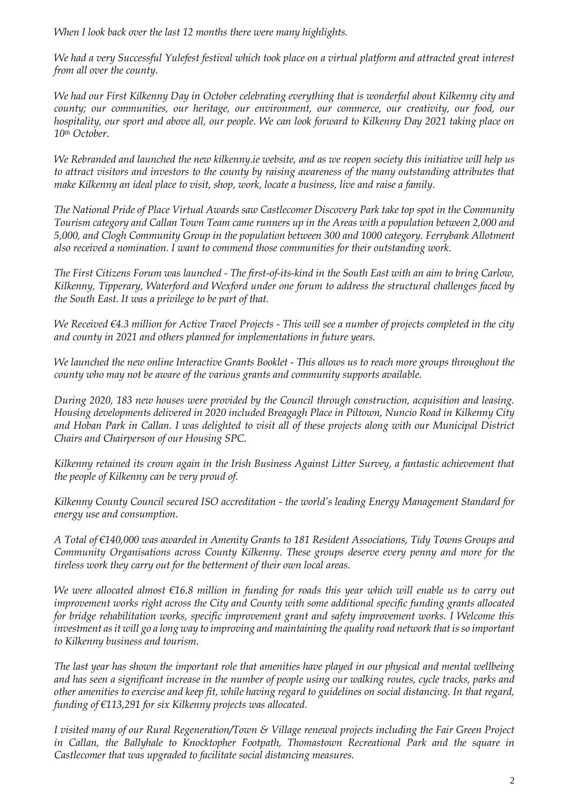*When I look back over the last 12 months there were many highlights.*

*We had a very Successful Yulefest festival which took place on a virtual platform and attracted great interest from all over the county.* 

*We had our First Kilkenny Day in October celebrating everything that is wonderful about Kilkenny city and county; our communities, our heritage, our environment, our commerce, our creativity, our food, our hospitality, our sport and above all, our people. We can look forward to Kilkenny Day 2021 taking place on 10th October.*

*We Rebranded and launched the new kilkenny.ie website, and as we reopen society this initiative will help us to attract visitors and investors to the county by raising awareness of the many outstanding attributes that make Kilkenny an ideal place to visit, shop, work, locate a business, live and raise a family.*

*The National Pride of Place Virtual Awards saw Castlecomer Discovery Park take top spot in the Community Tourism category and Callan Town Team came runners up in the Areas with a population between 2,000 and 5,000, and Clogh Community Group in the population between 300 and 1000 category. Ferrybank Allotment also received a nomination. I want to commend those communities for their outstanding work.*

*The First Citizens Forum was launched - The first-of-its-kind in the South East with an aim to bring Carlow, Kilkenny, Tipperary, Waterford and Wexford under one forum to address the structural challenges faced by the South East. It was a privilege to be part of that.*

*We Received* €4.3 million for Active Travel Projects - This will see a number of projects completed in the city *and county in 2021 and others planned for implementations in future years.*

*We launched the new online Interactive Grants Booklet - This allows us to reach more groups throughout the county who may not be aware of the various grants and community supports available.*

*During 2020, 183 new houses were provided by the Council through construction, acquisition and leasing. Housing developments delivered in 2020 included Breagagh Place in Piltown, Nuncio Road in Kilkenny City and Hoban Park in Callan. I was delighted to visit all of these projects along with our Municipal District Chairs and Chairperson of our Housing SPC.*

*Kilkenny retained its crown again in the Irish Business Against Litter Survey, a fantastic achievement that the people of Kilkenny can be very proud of.*

*Kilkenny County Council secured ISO accreditation - the world's leading Energy Management Standard for energy use and consumption.*

*A Total of €140,000 was awarded in Amenity Grants to 181 Resident Associations, Tidy Towns Groups and Community Organisations across County Kilkenny. These groups deserve every penny and more for the tireless work they carry out for the betterment of their own local areas.*

*We were allocated almost €16.8 million in funding for roads this year which will enable us to carry out improvement works right across the City and County with some additional specific funding grants allocated for bridge rehabilitation works, specific improvement grant and safety improvement works. I Welcome this*  investment as it will go a long way to improving and maintaining the quality road network that is so important *to Kilkenny business and tourism.*

*The last year has shown the important role that amenities have played in our physical and mental wellbeing and has seen a significant increase in the number of people using our walking routes, cycle tracks, parks and other amenities to exercise and keep fit, while having regard to guidelines on social distancing. In that regard, funding of €113,291 for six Kilkenny projects was allocated.*

*I visited many of our Rural Regeneration/Town & Village renewal projects including the Fair Green Project in Callan, the Ballyhale to Knocktopher Footpath, Thomastown Recreational Park and the square in Castlecomer that was upgraded to facilitate social distancing measures.*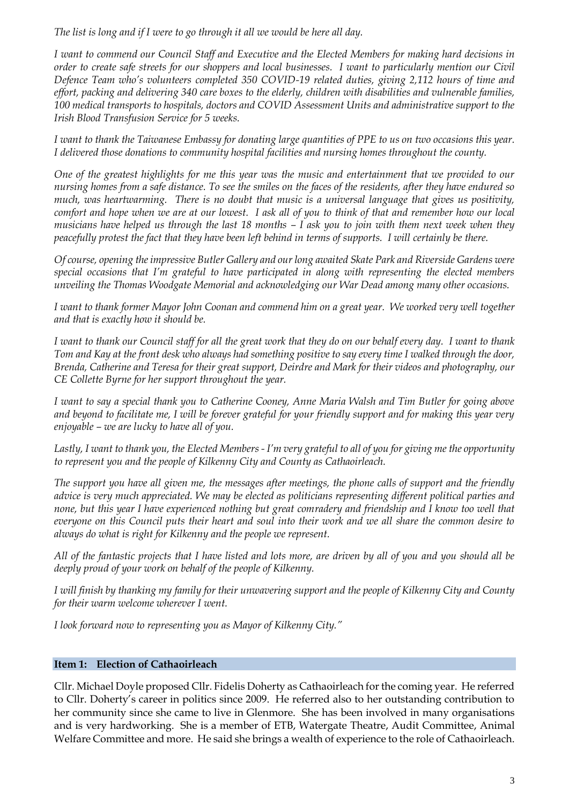*The list is long and if I were to go through it all we would be here all day.*

*I want to commend our Council Staff and Executive and the Elected Members for making hard decisions in order to create safe streets for our shoppers and local businesses. I want to particularly mention our Civil Defence Team who's volunteers completed 350 COVID-19 related duties, giving 2,112 hours of time and effort, packing and delivering 340 care boxes to the elderly, children with disabilities and vulnerable families, 100 medical transports to hospitals, doctors and COVID Assessment Units and administrative support to the Irish Blood Transfusion Service for 5 weeks.*

*I want to thank the Taiwanese Embassy for donating large quantities of PPE to us on two occasions this year. I delivered those donations to community hospital facilities and nursing homes throughout the county.*

*One of the greatest highlights for me this year was the music and entertainment that we provided to our nursing homes from a safe distance. To see the smiles on the faces of the residents, after they have endured so much, was heartwarming. There is no doubt that music is a universal language that gives us positivity, comfort and hope when we are at our lowest. I ask all of you to think of that and remember how our local musicians have helped us through the last 18 months – I ask you to join with them next week when they peacefully protest the fact that they have been left behind in terms of supports. I will certainly be there.*

*Of course, opening the impressive Butler Gallery and our long awaited Skate Park and Riverside Gardens were special occasions that I'm grateful to have participated in along with representing the elected members unveiling the Thomas Woodgate Memorial and acknowledging our War Dead among many other occasions.* 

*I want to thank former Mayor John Coonan and commend him on a great year. We worked very well together and that is exactly how it should be.* 

*I want to thank our Council staff for all the great work that they do on our behalf every day. I want to thank Tom and Kay at the front desk who always had something positive to say every time I walked through the door, Brenda, Catherine and Teresa for their great support, Deirdre and Mark for their videos and photography, our CE Collette Byrne for her support throughout the year.*

*I want to say a special thank you to Catherine Cooney, Anne Maria Walsh and Tim Butler for going above and beyond to facilitate me, I will be forever grateful for your friendly support and for making this year very enjoyable – we are lucky to have all of you.*

*Lastly, I want to thank you, the Elected Members - I'm very grateful to all of you for giving me the opportunity to represent you and the people of Kilkenny City and County as Cathaoirleach.* 

*The support you have all given me, the messages after meetings, the phone calls of support and the friendly advice is very much appreciated. We may be elected as politicians representing different political parties and none, but this year I have experienced nothing but great comradery and friendship and I know too well that everyone on this Council puts their heart and soul into their work and we all share the common desire to always do what is right for Kilkenny and the people we represent.* 

*All of the fantastic projects that I have listed and lots more, are driven by all of you and you should all be deeply proud of your work on behalf of the people of Kilkenny.*

*I will finish by thanking my family for their unwavering support and the people of Kilkenny City and County for their warm welcome wherever I went.* 

*I look forward now to representing you as Mayor of Kilkenny City."*

## **Item 1: Election of Cathaoirleach**

Cllr. Michael Doyle proposed Cllr. Fidelis Doherty as Cathaoirleach for the coming year. He referred to Cllr. Doherty's career in politics since 2009. He referred also to her outstanding contribution to her community since she came to live in Glenmore. She has been involved in many organisations and is very hardworking. She is a member of ETB, Watergate Theatre, Audit Committee, Animal Welfare Committee and more. He said she brings a wealth of experience to the role of Cathaoirleach.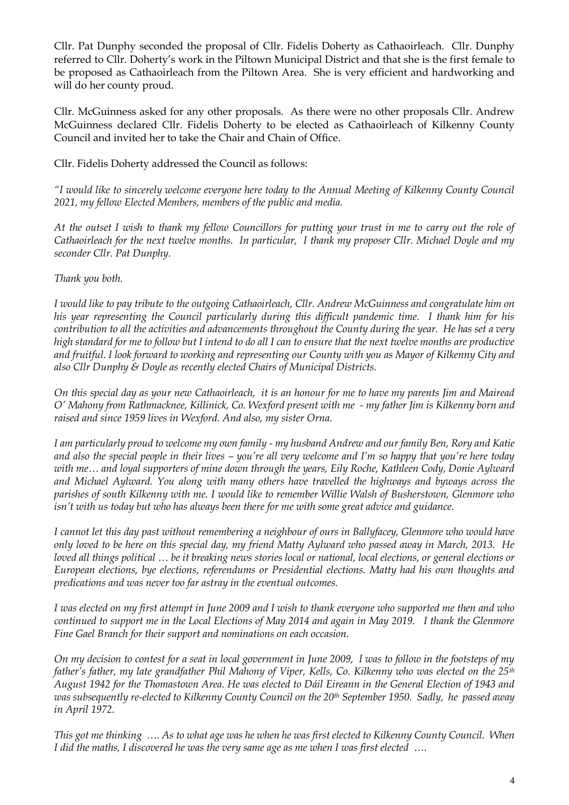Cllr. Pat Dunphy seconded the proposal of Cllr. Fidelis Doherty as Cathaoirleach. Cllr. Dunphy referred to Cllr. Doherty's work in the Piltown Municipal District and that she is the first female to be proposed as Cathaoirleach from the Piltown Area. She is very efficient and hardworking and will do her county proud.

Cllr. McGuinness asked for any other proposals. As there were no other proposals Cllr. Andrew McGuinness declared Cllr. Fidelis Doherty to be elected as Cathaoirleach of Kilkenny County Council and invited her to take the Chair and Chain of Office.

Cllr. Fidelis Doherty addressed the Council as follows:

*"I would like to sincerely welcome everyone here today to the Annual Meeting of Kilkenny County Council 2021, my fellow Elected Members, members of the public and media.*

*At the outset I wish to thank my fellow Councillors for putting your trust in me to carry out the role of Cathaoirleach for the next twelve months. In particular, I thank my proposer Cllr. Michael Doyle and my seconder Cllr. Pat Dunphy.*

*Thank you both.*

*I would like to pay tribute to the outgoing Cathaoirleach, Cllr. Andrew McGuinness and congratulate him on his year representing the Council particularly during this difficult pandemic time. I thank him for his contribution to all the activities and advancements throughout the County during the year. He has set a very high standard for me to follow but I intend to do all I can to ensure that the next twelve months are productive and fruitful. I look forward to working and representing our County with you as Mayor of Kilkenny City and also Cllr Dunphy & Doyle as recently elected Chairs of Municipal Districts.*

*On this special day as your new Cathaoirleach, it is an honour for me to have my parents Jim and Mairead O' Mahony from Rathmacknee, Killinick, Co. Wexford present with me - my father Jim is Kilkenny born and raised and since 1959 lives in Wexford. And also, my sister Orna.* 

*I am particularly proud to welcome my own family - my husband Andrew and our family Ben, Rory and Katie and also the special people in their lives – you're all very welcome and I'm so happy that you're here today with me… and loyal supporters of mine down through the years, Eily Roche, Kathleen Cody, Donie Aylward and Michael Aylward. You along with many others have travelled the highways and byways across the parishes of south Kilkenny with me. I would like to remember Willie Walsh of Busherstown, Glenmore who isn't with us today but who has always been there for me with some great advice and guidance.* 

*I cannot let this day past without remembering a neighbour of ours in Ballyfacey, Glenmore who would have only loved to be here on this special day, my friend Matty Aylward who passed away in March, 2013. He loved all things political … be it breaking news stories local or national, local elections, or general elections or European elections, bye elections, referendums or Presidential elections. Matty had his own thoughts and predications and was never too far astray in the eventual outcomes.*

*I was elected on my first attempt in June 2009 and I wish to thank everyone who supported me then and who continued to support me in the Local Elections of May 2014 and again in May 2019. I thank the Glenmore Fine Gael Branch for their support and nominations on each occasion.*

*On my decision to contest for a seat in local government in June 2009, I was to follow in the footsteps of my father's father, my late grandfather Phil Mahony of Viper, Kells, Co. Kilkenny who was elected on the 25th August 1942 for the Thomastown Area. He was elected to Dáil Eireann in the General Election of 1943 and was subsequently re-elected to Kilkenny County Council on the 20th September 1950. Sadly, he passed away in April 1972.*

*This got me thinking …. As to what age was he when he was first elected to Kilkenny County Council. When I did the maths, I discovered he was the very same age as me when I was first elected ….*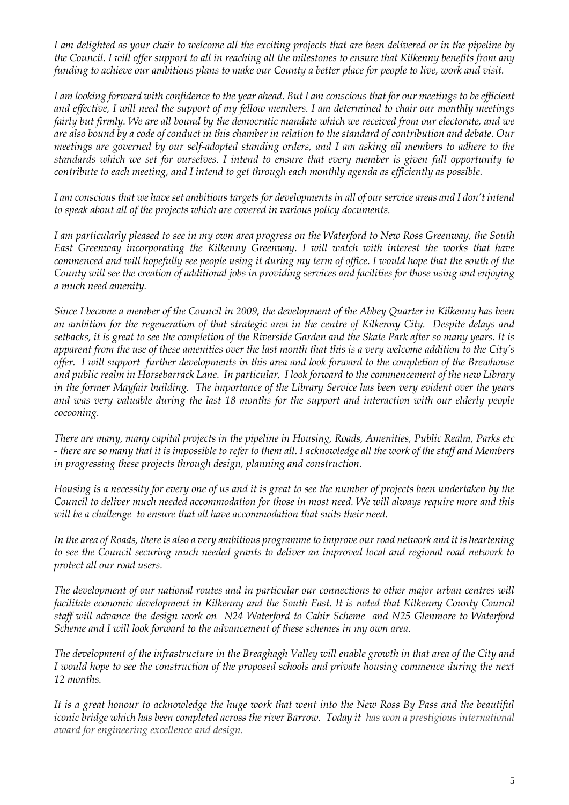*I am delighted as your chair to welcome all the exciting projects that are been delivered or in the pipeline by the Council. I will offer support to all in reaching all the milestones to ensure that Kilkenny benefits from any funding to achieve our ambitious plans to make our County a better place for people to live, work and visit.* 

*I am looking forward with confidence to the year ahead. But I am conscious that for our meetings to be efficient and effective, I will need the support of my fellow members. I am determined to chair our monthly meetings fairly but firmly. We are all bound by the democratic mandate which we received from our electorate, and we are also bound by a code of conduct in this chamber in relation to the standard of contribution and debate. Our meetings are governed by our self-adopted standing orders, and I am asking all members to adhere to the standards which we set for ourselves. I intend to ensure that every member is given full opportunity to contribute to each meeting, and I intend to get through each monthly agenda as efficiently as possible.*

*I am conscious that we have set ambitious targets for developments in all of our service areas and I don't intend to speak about all of the projects which are covered in various policy documents.* 

*I am particularly pleased to see in my own area progress on the Waterford to New Ross Greenway, the South East Greenway incorporating the Kilkenny Greenway. I will watch with interest the works that have commenced and will hopefully see people using it during my term of office. I would hope that the south of the County will see the creation of additional jobs in providing services and facilities for those using and enjoying a much need amenity.* 

*Since I became a member of the Council in 2009, the development of the Abbey Quarter in Kilkenny has been an ambition for the regeneration of that strategic area in the centre of Kilkenny City. Despite delays and setbacks, it is great to see the completion of the Riverside Garden and the Skate Park after so many years. It is apparent from the use of these amenities over the last month that this is a very welcome addition to the City's offer. I will support further developments in this area and look forward to the completion of the Brewhouse and public realm in Horsebarrack Lane. In particular, I look forward to the commencement of the new Library in the former Mayfair building. The importance of the Library Service has been very evident over the years and was very valuable during the last 18 months for the support and interaction with our elderly people cocooning.* 

*There are many, many capital projects in the pipeline in Housing, Roads, Amenities, Public Realm, Parks etc - there are so many that it is impossible to refer to them all. I acknowledge all the work of the staff and Members in progressing these projects through design, planning and construction.* 

*Housing is a necessity for every one of us and it is great to see the number of projects been undertaken by the Council to deliver much needed accommodation for those in most need. We will always require more and this will be a challenge to ensure that all have accommodation that suits their need.* 

*In the area of Roads, there is also a very ambitious programme to improve our road network and it is heartening to see the Council securing much needed grants to deliver an improved local and regional road network to protect all our road users.* 

*The development of our national routes and in particular our connections to other major urban centres will facilitate economic development in Kilkenny and the South East. It is noted that Kilkenny County Council staff will advance the design work on N24 Waterford to Cahir Scheme and N25 Glenmore to Waterford Scheme and I will look forward to the advancement of these schemes in my own area.* 

*The development of the infrastructure in the Breaghagh Valley will enable growth in that area of the City and I would hope to see the construction of the proposed schools and private housing commence during the next 12 months.* 

*It is a great honour to acknowledge the huge work that went into the New Ross By Pass and the beautiful iconic bridge which has been completed across the river Barrow. Today it has won a prestigious international award for engineering excellence and design.*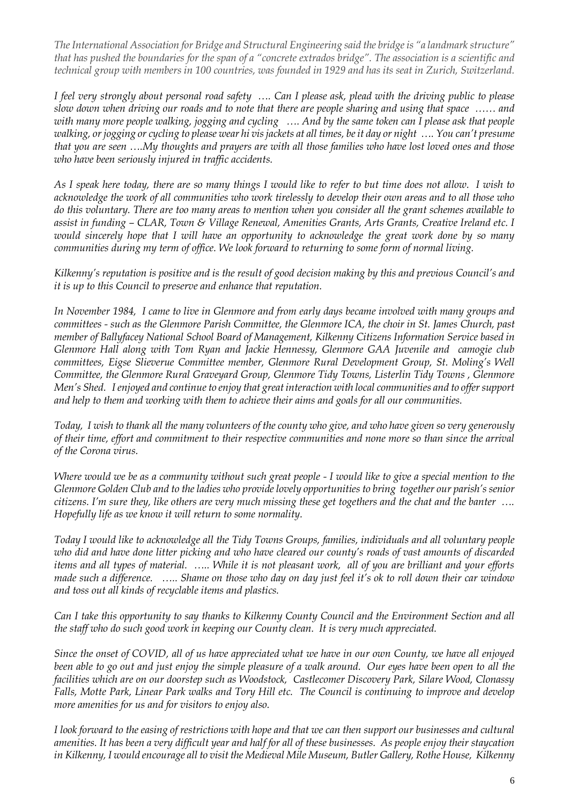*The International Association for Bridge and Structural Engineering said the bridge is "a landmark structure" that has pushed the boundaries for the span of a "concrete extrados bridge". The association is a scientific and technical group with members in 100 countries, was founded in 1929 and has its seat in Zurich, Switzerland.*

*I feel very strongly about personal road safety …. Can I please ask, plead with the driving public to please slow down when driving our roads and to note that there are people sharing and using that space …… and with many more people walking, jogging and cycling …. And by the same token can I please ask that people walking, or jogging or cycling to please wear hi vis jackets at all times, be it day or night …. You can't presume that you are seen ….My thoughts and prayers are with all those families who have lost loved ones and those who have been seriously injured in traffic accidents.* 

*As I speak here today, there are so many things I would like to refer to but time does not allow. I wish to acknowledge the work of all communities who work tirelessly to develop their own areas and to all those who do this voluntary. There are too many areas to mention when you consider all the grant schemes available to assist in funding – CLAR, Town & Village Renewal, Amenities Grants, Arts Grants, Creative Ireland etc. I would sincerely hope that I will have an opportunity to acknowledge the great work done by so many communities during my term of office. We look forward to returning to some form of normal living.*

*Kilkenny's reputation is positive and is the result of good decision making by this and previous Council's and it is up to this Council to preserve and enhance that reputation.*

*In November 1984, I came to live in Glenmore and from early days became involved with many groups and committees - such as the Glenmore Parish Committee, the Glenmore ICA, the choir in St. James Church, past member of Ballyfacey National School Board of Management, Kilkenny Citizens Information Service based in Glenmore Hall along with Tom Ryan and Jackie Hennessy, Glenmore GAA Juvenile and camogie club committees, Eigse Slieverue Committee member, Glenmore Rural Development Group, St. Moling's Well Committee, the Glenmore Rural Graveyard Group, Glenmore Tidy Towns, Listerlin Tidy Towns , Glenmore Men's Shed. I enjoyed and continue to enjoy that great interaction with local communities and to offer support and help to them and working with them to achieve their aims and goals for all our communities.*

*Today, I wish to thank all the many volunteers of the county who give, and who have given so very generously of their time, effort and commitment to their respective communities and none more so than since the arrival of the Corona virus.* 

*Where would we be as a community without such great people - I would like to give a special mention to the Glenmore Golden Club and to the ladies who provide lovely opportunities to bring together our parish's senior citizens. I'm sure they, like others are very much missing these get togethers and the chat and the banter …. Hopefully life as we know it will return to some normality.* 

*Today I would like to acknowledge all the Tidy Towns Groups, families, individuals and all voluntary people who did and have done litter picking and who have cleared our county's roads of vast amounts of discarded items and all types of material. ….. While it is not pleasant work, all of you are brilliant and your efforts made such a difference. ….. Shame on those who day on day just feel it's ok to roll down their car window and toss out all kinds of recyclable items and plastics.* 

*Can I take this opportunity to say thanks to Kilkenny County Council and the Environment Section and all the staff who do such good work in keeping our County clean. It is very much appreciated.*

*Since the onset of COVID, all of us have appreciated what we have in our own County, we have all enjoyed been able to go out and just enjoy the simple pleasure of a walk around. Our eyes have been open to all the facilities which are on our doorstep such as Woodstock, Castlecomer Discovery Park, Silare Wood, Clonassy Falls, Motte Park, Linear Park walks and Tory Hill etc. The Council is continuing to improve and develop more amenities for us and for visitors to enjoy also.* 

*I look forward to the easing of restrictions with hope and that we can then support our businesses and cultural amenities. It has been a very difficult year and half for all of these businesses. As people enjoy their staycation in Kilkenny, I would encourage all to visit the Medieval Mile Museum, Butler Gallery, Rothe House, Kilkenny*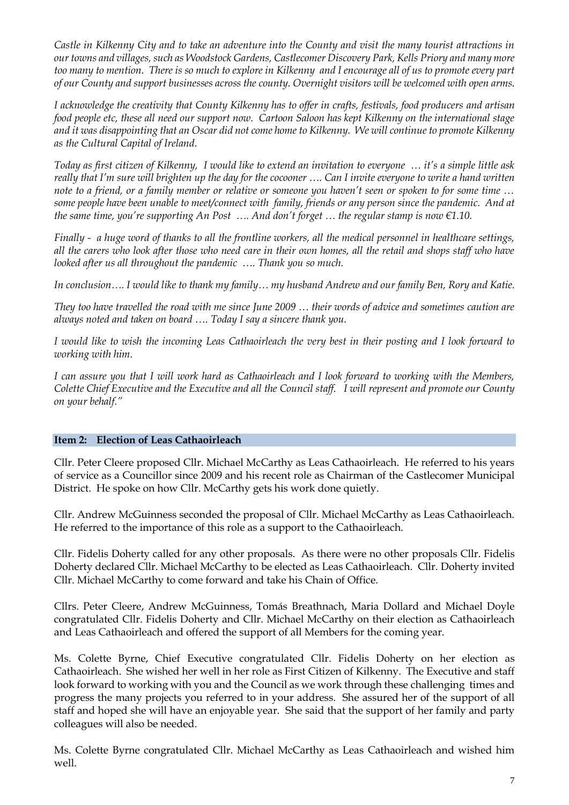*Castle in Kilkenny City and to take an adventure into the County and visit the many tourist attractions in our towns and villages, such as Woodstock Gardens, Castlecomer Discovery Park, Kells Priory and many more too many to mention. There is so much to explore in Kilkenny and I encourage all of us to promote every part of our County and support businesses across the county. Overnight visitors will be welcomed with open arms.*

*I acknowledge the creativity that County Kilkenny has to offer in crafts, festivals, food producers and artisan food people etc, these all need our support now. Cartoon Saloon has kept Kilkenny on the international stage and it was disappointing that an Oscar did not come home to Kilkenny. We will continue to promote Kilkenny as the Cultural Capital of Ireland.* 

*Today as first citizen of Kilkenny, I would like to extend an invitation to everyone … it's a simple little ask really that I'm sure will brighten up the day for the cocooner …. Can I invite everyone to write a hand written note to a friend, or a family member or relative or someone you haven't seen or spoken to for some time … some people have been unable to meet/connect with family, friends or any person since the pandemic. And at the same time, you're supporting An Post …. And don't forget … the regular stamp is now €1.10.* 

*Finally - a huge word of thanks to all the frontline workers, all the medical personnel in healthcare settings, all the carers who look after those who need care in their own homes, all the retail and shops staff who have looked after us all throughout the pandemic …. Thank you so much.* 

*In conclusion…. I would like to thank my family… my husband Andrew and our family Ben, Rory and Katie.*

*They too have travelled the road with me since June 2009 … their words of advice and sometimes caution are always noted and taken on board …. Today I say a sincere thank you.* 

*I would like to wish the incoming Leas Cathaoirleach the very best in their posting and I look forward to working with him.*

*I can assure you that I will work hard as Cathaoirleach and I look forward to working with the Members, Colette Chief Executive and the Executive and all the Council staff. I will represent and promote our County on your behalf."*

## **Item 2: Election of Leas Cathaoirleach**

Cllr. Peter Cleere proposed Cllr. Michael McCarthy as Leas Cathaoirleach. He referred to his years of service as a Councillor since 2009 and his recent role as Chairman of the Castlecomer Municipal District. He spoke on how Cllr. McCarthy gets his work done quietly.

Cllr. Andrew McGuinness seconded the proposal of Cllr. Michael McCarthy as Leas Cathaoirleach. He referred to the importance of this role as a support to the Cathaoirleach.

Cllr. Fidelis Doherty called for any other proposals. As there were no other proposals Cllr. Fidelis Doherty declared Cllr. Michael McCarthy to be elected as Leas Cathaoirleach. Cllr. Doherty invited Cllr. Michael McCarthy to come forward and take his Chain of Office.

Cllrs. Peter Cleere, Andrew McGuinness, Tomás Breathnach, Maria Dollard and Michael Doyle congratulated Cllr. Fidelis Doherty and Cllr. Michael McCarthy on their election as Cathaoirleach and Leas Cathaoirleach and offered the support of all Members for the coming year.

Ms. Colette Byrne, Chief Executive congratulated Cllr. Fidelis Doherty on her election as Cathaoirleach. She wished her well in her role as First Citizen of Kilkenny. The Executive and staff look forward to working with you and the Council as we work through these challenging times and progress the many projects you referred to in your address. She assured her of the support of all staff and hoped she will have an enjoyable year. She said that the support of her family and party colleagues will also be needed.

Ms. Colette Byrne congratulated Cllr. Michael McCarthy as Leas Cathaoirleach and wished him well.